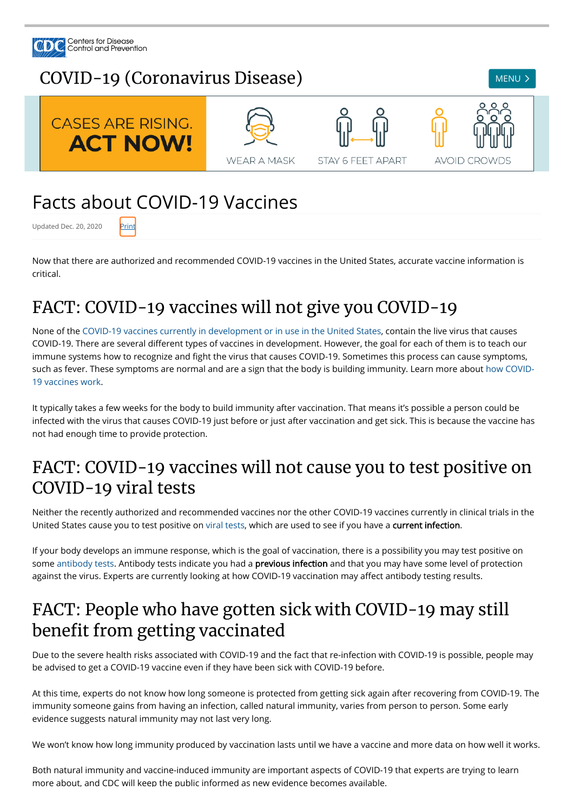# Facts about COVID-19 Vaccines

Updated Dec. 20, 2020 Print

Now that there are authorized and recommended COVID-19 vaccines in the United States, accurate vaccine information is critical.

### FACT: COVID-19 vaccines will not give you COVID-19

None of the [COVID-19 vaccines currently in development or in use in the United States,](https://www.cdc.gov/coronavirus/2019-ncov/vaccines/different-vaccines.html) contain the live virus that causes COVID-19. There are several different types of vaccines in development. However, the goal for each of them is to teach our immune systems how to recognize and fight the virus that causes COVID-19. Sometimes this process can cause symptoms, [such as fever. These symptoms are normal and are a sign that the body is building immunity. Learn more about how COVID-](https://www.cdc.gov/coronavirus/2019-ncov/vaccines/about-vaccines/how-they-work.html)19 vaccines work.

If your body develops an immune response, which is the goal of vaccination, there is a possibility you may test positive on some [antibody tests](https://www.cdc.gov/coronavirus/2019-ncov/testing/serology-overview.html). Antibody tests indicate you had a **previous infection** and that you may have some level of protection against the virus. Experts are currently looking at how COVID-19 vaccination may affect antibody testing results.

#### FACT: People who have gotten sick with COVID-19 may still benefit from getting vaccinated

It typically takes a few weeks for the body to build immunity after vaccination. That means it's possible a person could be infected with the virus that causes COVID-19 just before or just after vaccination and get sick. This is because the vaccine has not had enough time to provide protection.

#### FACT: COVID-19 vaccines will not cause you to test positive on COVID-19 viral tests

Neither the recently authorized and recommended vaccines nor the other COVID-19 vaccines currently in clinical trials in the United States cause you to test positive on [viral tests](https://www.cdc.gov/coronavirus/2019-ncov/testing/diagnostic-testing.html), which are used to see if you have a current infection.

Due to the severe health risks associated with COVID-19 and the fact that re-infection with COVID-19 is possible, people may be advised to get a COVID-19 vaccine even if they have been sick with COVID-19 before.

At this time, experts do not know how long someone is protected from getting sick again after recovering from COVID-19. The immunity someone gains from having an infection, called natural immunity, varies from person to person. Some early evidence suggests natural immunity may not last very long.

We won't know how long immunity produced by vaccination lasts until we have a vaccine and more data on how well it works.

Both natural immunity and vaccine-induced immunity are important aspects of COVID-19 that experts are trying to learn more about, and CDC will keep the public informed as new evidence becomes available.